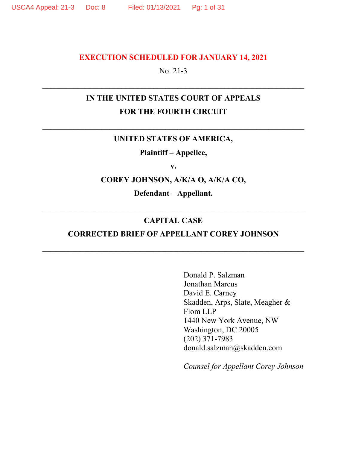#### **EXECUTION SCHEDULED FOR JANUARY 14, 2021**

#### No. 21-3

## **IN THE UNITED STATES COURT OF APPEALS FOR THE FOURTH CIRCUIT**

#### **UNITED STATES OF AMERICA,**

**Plaintiff – Appellee,** 

**v.** 

**COREY JOHNSON, A/K/A O, A/K/A CO,** 

**Defendant – Appellant.** 

#### **CAPITAL CASE**

#### **CORRECTED BRIEF OF APPELLANT COREY JOHNSON**

Donald P. Salzman Jonathan Marcus David E. Carney Skadden, Arps, Slate, Meagher & Flom LLP 1440 New York Avenue, NW Washington, DC 20005 (202) 371-7983 donald.salzman@skadden.com

*Counsel for Appellant Corey Johnson*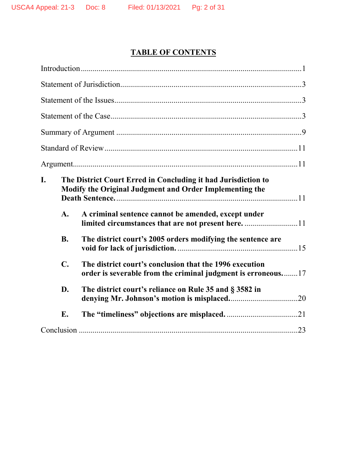# **TABLE OF CONTENTS**

| I.<br>The District Court Erred in Concluding it had Jurisdiction to<br>Modify the Original Judgment and Order Implementing the<br>A.<br>A criminal sentence cannot be amended, except under |  |
|---------------------------------------------------------------------------------------------------------------------------------------------------------------------------------------------|--|
| limited circumstances that are not present here11                                                                                                                                           |  |
| <b>B.</b><br>The district court's 2005 orders modifying the sentence are                                                                                                                    |  |
| $\mathbf{C}$ .<br>The district court's conclusion that the 1996 execution<br>order is severable from the criminal judgment is erroneous17                                                   |  |
| D.<br>The district court's reliance on Rule 35 and § 3582 in                                                                                                                                |  |
| E.                                                                                                                                                                                          |  |
|                                                                                                                                                                                             |  |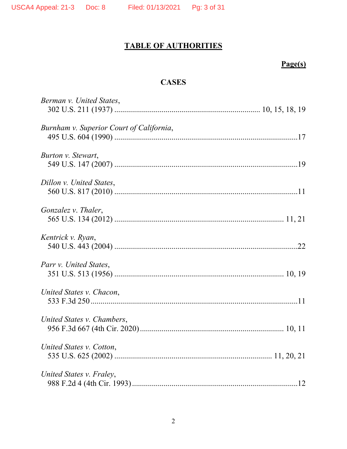## **TABLE OF AUTHORITIES**

## **Page(s)**

## **CASES**

| Berman v. United States,                 |
|------------------------------------------|
| Burnham v. Superior Court of California, |
| Burton v. Stewart,                       |
| Dillon v. United States,                 |
| Gonzalez v. Thaler,                      |
| Kentrick v. Ryan,                        |
| Parr v. United States,                   |
| United States v. Chacon,                 |
| United States v. Chambers,               |
| United States v. Cotton,                 |
| United States v. Fraley,                 |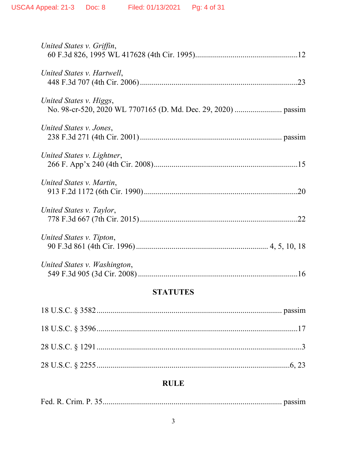| United States v. Griffin,    |
|------------------------------|
| United States v. Hartwell,   |
| United States v. Higgs,      |
| United States v. Jones,      |
| United States v. Lightner,   |
| United States v. Martin,     |
| United States v. Taylor,     |
| United States v. Tipton,     |
| United States v. Washington, |

## **STATUTES**

## **RULE**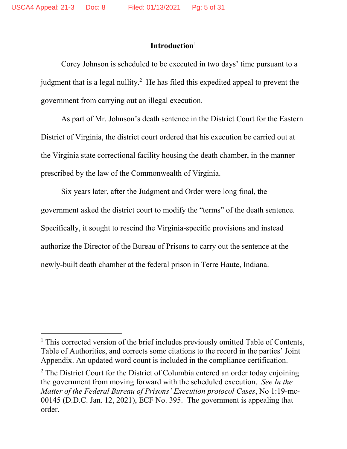#### **Introduction**<sup>1</sup>

Corey Johnson is scheduled to be executed in two days' time pursuant to a judgment that is a legal nullity.<sup>2</sup> He has filed this expedited appeal to prevent the government from carrying out an illegal execution.

As part of Mr. Johnson's death sentence in the District Court for the Eastern District of Virginia, the district court ordered that his execution be carried out at the Virginia state correctional facility housing the death chamber, in the manner prescribed by the law of the Commonwealth of Virginia.

Six years later, after the Judgment and Order were long final, the government asked the district court to modify the "terms" of the death sentence. Specifically, it sought to rescind the Virginia-specific provisions and instead authorize the Director of the Bureau of Prisons to carry out the sentence at the newly-built death chamber at the federal prison in Terre Haute, Indiana.

<sup>&</sup>lt;sup>1</sup> This corrected version of the brief includes previously omitted Table of Contents, Table of Authorities, and corrects some citations to the record in the parties' Joint Appendix. An updated word count is included in the compliance certification.

 $2$  The District Court for the District of Columbia entered an order today enjoining the government from moving forward with the scheduled execution. *See In the Matter of the Federal Bureau of Prisons' Execution protocol Cases*, No 1:19-mc-00145 (D.D.C. Jan. 12, 2021), ECF No. 395. The government is appealing that order.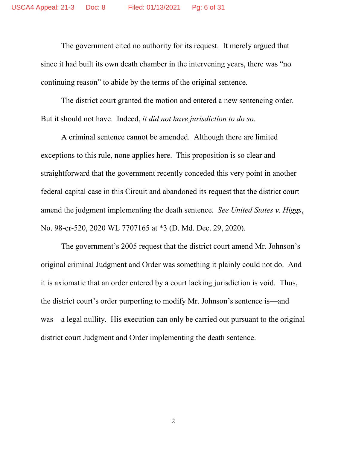The government cited no authority for its request. It merely argued that since it had built its own death chamber in the intervening years, there was "no continuing reason" to abide by the terms of the original sentence.

The district court granted the motion and entered a new sentencing order. But it should not have. Indeed, *it did not have jurisdiction to do so*.

A criminal sentence cannot be amended. Although there are limited exceptions to this rule, none applies here. This proposition is so clear and straightforward that the government recently conceded this very point in another federal capital case in this Circuit and abandoned its request that the district court amend the judgment implementing the death sentence. *See United States v. Higgs*, No. 98-cr-520, 2020 WL 7707165 at \*3 (D. Md. Dec. 29, 2020).

The government's 2005 request that the district court amend Mr. Johnson's original criminal Judgment and Order was something it plainly could not do. And it is axiomatic that an order entered by a court lacking jurisdiction is void. Thus, the district court's order purporting to modify Mr. Johnson's sentence is—and was—a legal nullity. His execution can only be carried out pursuant to the original district court Judgment and Order implementing the death sentence.

2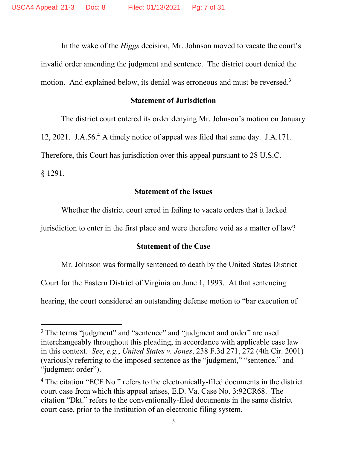In the wake of the *Higgs* decision, Mr. Johnson moved to vacate the court's invalid order amending the judgment and sentence. The district court denied the motion. And explained below, its denial was erroneous and must be reversed.<sup>3</sup>

#### **Statement of Jurisdiction**

The district court entered its order denying Mr. Johnson's motion on January 12, 2021. J.A.56.<sup>4</sup> A timely notice of appeal was filed that same day. J.A.171. Therefore, this Court has jurisdiction over this appeal pursuant to 28 U.S.C. § 1291.

#### **Statement of the Issues**

Whether the district court erred in failing to vacate orders that it lacked

jurisdiction to enter in the first place and were therefore void as a matter of law?

#### **Statement of the Case**

Mr. Johnson was formally sentenced to death by the United States District

Court for the Eastern District of Virginia on June 1, 1993. At that sentencing

hearing, the court considered an outstanding defense motion to "bar execution of

<sup>&</sup>lt;sup>3</sup> The terms "judgment" and "sentence" and "judgment and order" are used interchangeably throughout this pleading, in accordance with applicable case law in this context. *See*, *e.g.*, *United States v. Jones*, 238 F.3d 271, 272 (4th Cir. 2001) (variously referring to the imposed sentence as the "judgment," "sentence," and "judgment order").

<sup>&</sup>lt;sup>4</sup> The citation "ECF No." refers to the electronically-filed documents in the district court case from which this appeal arises, E.D. Va. Case No. 3:92CR68. The citation "Dkt." refers to the conventionally-filed documents in the same district court case, prior to the institution of an electronic filing system.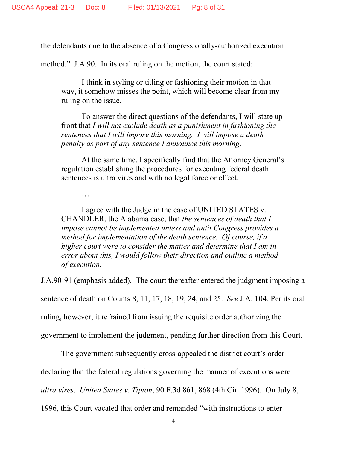…

the defendants due to the absence of a Congressionally-authorized execution

method." J.A.90. In its oral ruling on the motion, the court stated:

I think in styling or titling or fashioning their motion in that way, it somehow misses the point, which will become clear from my ruling on the issue.

To answer the direct questions of the defendants, I will state up front that *I will not exclude death as a punishment in fashioning the sentences that I will impose this morning. I will impose a death penalty as part of any sentence I announce this morning.*

At the same time, I specifically find that the Attorney General's regulation establishing the procedures for executing federal death sentences is ultra vires and with no legal force or effect.

I agree with the Judge in the case of UNITED STATES v. CHANDLER, the Alabama case, that *the sentences of death that I impose cannot be implemented unless and until Congress provides a method for implementation of the death sentence. Of course, if a higher court were to consider the matter and determine that I am in error about this, I would follow their direction and outline a method of execution.*

J.A.90-91 (emphasis added). The court thereafter entered the judgment imposing a sentence of death on Counts 8, 11, 17, 18, 19, 24, and 25. *See* J.A. 104. Per its oral ruling, however, it refrained from issuing the requisite order authorizing the government to implement the judgment, pending further direction from this Court.

The government subsequently cross-appealed the district court's order declaring that the federal regulations governing the manner of executions were *ultra vires*. *United States v. Tipton*, 90 F.3d 861, 868 (4th Cir. 1996). On July 8, 1996, this Court vacated that order and remanded "with instructions to enter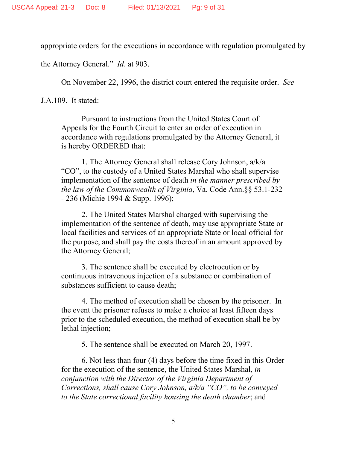appropriate orders for the executions in accordance with regulation promulgated by

the Attorney General." *Id*. at 903.

On November 22, 1996, the district court entered the requisite order. *See*

J.A.109. It stated:

Pursuant to instructions from the United States Court of Appeals for the Fourth Circuit to enter an order of execution in accordance with regulations promulgated by the Attorney General, it is hereby ORDERED that:

1. The Attorney General shall release Cory Johnson, a/k/a "CO", to the custody of a United States Marshal who shall supervise implementation of the sentence of death *in the manner prescribed by the law of the Commonwealth of Virginia*, Va. Code Ann.§§ 53.1-232 - 236 (Michie 1994 & Supp. 1996);

2. The United States Marshal charged with supervising the implementation of the sentence of death, may use appropriate State or local facilities and services of an appropriate State or local official for the purpose, and shall pay the costs thereof in an amount approved by the Attorney General;

3. The sentence shall be executed by electrocution or by continuous intravenous injection of a substance or combination of substances sufficient to cause death;

4. The method of execution shall be chosen by the prisoner. In the event the prisoner refuses to make a choice at least fifteen days prior to the scheduled execution, the method of execution shall be by lethal injection;

5. The sentence shall be executed on March 20, 1997.

6. Not less than four (4) days before the time fixed in this Order for the execution of the sentence, the United States Marshal, *in conjunction with the Director of the Virginia Department of Corrections, shall cause Cory Johnson, a/k/a "CO", to be conveyed to the State correctional facility housing the death chamber*; and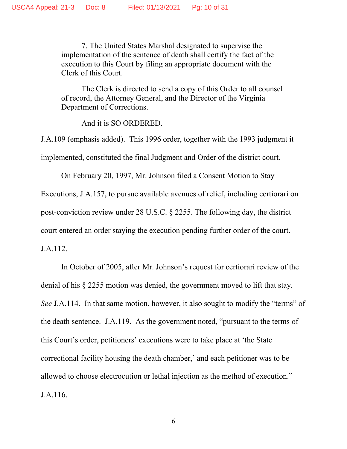7. The United States Marshal designated to supervise the implementation of the sentence of death shall certify the fact of the execution to this Court by filing an appropriate document with the Clerk of this Court.

The Clerk is directed to send a copy of this Order to all counsel of record, the Attorney General, and the Director of the Virginia Department of Corrections.

And it is SO ORDERED.

J.A.109 (emphasis added). This 1996 order, together with the 1993 judgment it implemented, constituted the final Judgment and Order of the district court.

On February 20, 1997, Mr. Johnson filed a Consent Motion to Stay

Executions, J.A.157, to pursue available avenues of relief, including certiorari on post-conviction review under 28 U.S.C. § 2255. The following day, the district court entered an order staying the execution pending further order of the court. J.A.112.

In October of 2005, after Mr. Johnson's request for certiorari review of the denial of his § 2255 motion was denied, the government moved to lift that stay. *See* J.A.114. In that same motion, however, it also sought to modify the "terms" of the death sentence. J.A.119. As the government noted, "pursuant to the terms of this Court's order, petitioners' executions were to take place at 'the State correctional facility housing the death chamber,' and each petitioner was to be allowed to choose electrocution or lethal injection as the method of execution." J.A.116.

6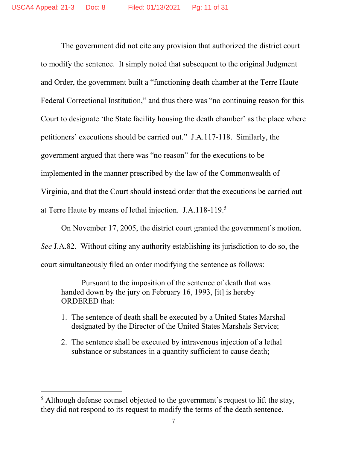The government did not cite any provision that authorized the district court to modify the sentence. It simply noted that subsequent to the original Judgment and Order, the government built a "functioning death chamber at the Terre Haute Federal Correctional Institution," and thus there was "no continuing reason for this Court to designate 'the State facility housing the death chamber' as the place where petitioners' executions should be carried out." J.A.117-118. Similarly, the government argued that there was "no reason" for the executions to be implemented in the manner prescribed by the law of the Commonwealth of Virginia, and that the Court should instead order that the executions be carried out at Terre Haute by means of lethal injection. J.A.118-119.<sup>5</sup>

On November 17, 2005, the district court granted the government's motion. *See* J.A.82. Without citing any authority establishing its jurisdiction to do so, the court simultaneously filed an order modifying the sentence as follows:

Pursuant to the imposition of the sentence of death that was handed down by the jury on February 16, 1993, [it] is hereby ORDERED that:

- 1. The sentence of death shall be executed by a United States Marshal designated by the Director of the United States Marshals Service;
- 2. The sentence shall be executed by intravenous injection of a lethal substance or substances in a quantity sufficient to cause death;

 $<sup>5</sup>$  Although defense counsel objected to the government's request to lift the stay,</sup> they did not respond to its request to modify the terms of the death sentence.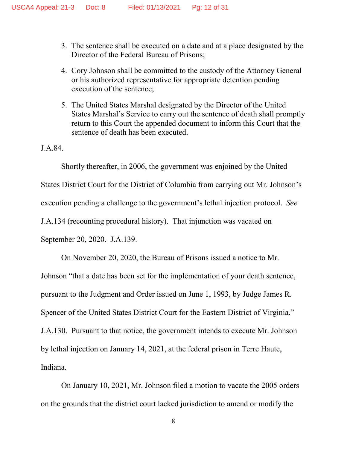- 3. The sentence shall be executed on a date and at a place designated by the Director of the Federal Bureau of Prisons;
- 4. Cory Johnson shall be committed to the custody of the Attorney General or his authorized representative for appropriate detention pending execution of the sentence;
- 5. The United States Marshal designated by the Director of the United States Marshal's Service to carry out the sentence of death shall promptly return to this Court the appended document to inform this Court that the sentence of death has been executed.

J.A.84.

Shortly thereafter, in 2006, the government was enjoined by the United States District Court for the District of Columbia from carrying out Mr. Johnson's execution pending a challenge to the government's lethal injection protocol. *See*  J.A.134 (recounting procedural history). That injunction was vacated on September 20, 2020. J.A.139.

On November 20, 2020, the Bureau of Prisons issued a notice to Mr. Johnson "that a date has been set for the implementation of your death sentence, pursuant to the Judgment and Order issued on June 1, 1993, by Judge James R. Spencer of the United States District Court for the Eastern District of Virginia." J.A.130. Pursuant to that notice, the government intends to execute Mr. Johnson by lethal injection on January 14, 2021, at the federal prison in Terre Haute, Indiana.

On January 10, 2021, Mr. Johnson filed a motion to vacate the 2005 orders on the grounds that the district court lacked jurisdiction to amend or modify the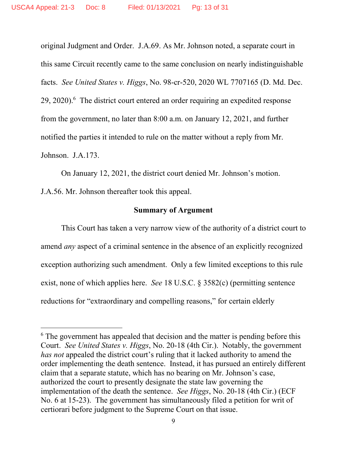original Judgment and Order. J.A.69. As Mr. Johnson noted, a separate court in this same Circuit recently came to the same conclusion on nearly indistinguishable facts. *See United States v. Higgs*, No. 98-cr-520, 2020 WL 7707165 (D. Md. Dec.  $29, 2020$ . <sup>6</sup> The district court entered an order requiring an expedited response from the government, no later than 8:00 a.m. on January 12, 2021, and further notified the parties it intended to rule on the matter without a reply from Mr. Johnson. J.A.173.

On January 12, 2021, the district court denied Mr. Johnson's motion. J.A.56. Mr. Johnson thereafter took this appeal.

#### **Summary of Argument**

This Court has taken a very narrow view of the authority of a district court to amend *any* aspect of a criminal sentence in the absence of an explicitly recognized exception authorizing such amendment. Only a few limited exceptions to this rule exist, none of which applies here. *See* 18 U.S.C. § 3582(c) (permitting sentence reductions for "extraordinary and compelling reasons," for certain elderly

<sup>&</sup>lt;sup>6</sup> The government has appealed that decision and the matter is pending before this Court. *See United States v. Higgs*, No. 20-18 (4th Cir.). Notably, the government *has not* appealed the district court's ruling that it lacked authority to amend the order implementing the death sentence. Instead, it has pursued an entirely different claim that a separate statute, which has no bearing on Mr. Johnson's case, authorized the court to presently designate the state law governing the implementation of the death the sentence. *See Higgs*, No. 20-18 (4th Cir.) (ECF No. 6 at 15-23). The government has simultaneously filed a petition for writ of certiorari before judgment to the Supreme Court on that issue.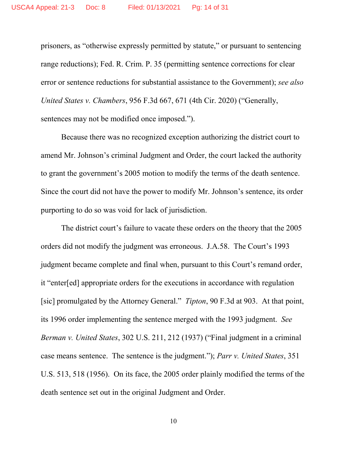prisoners, as "otherwise expressly permitted by statute," or pursuant to sentencing range reductions); Fed. R. Crim. P. 35 (permitting sentence corrections for clear error or sentence reductions for substantial assistance to the Government); *see also United States v. Chambers*, 956 F.3d 667, 671 (4th Cir. 2020) ("Generally, sentences may not be modified once imposed.").

Because there was no recognized exception authorizing the district court to amend Mr. Johnson's criminal Judgment and Order, the court lacked the authority to grant the government's 2005 motion to modify the terms of the death sentence. Since the court did not have the power to modify Mr. Johnson's sentence, its order purporting to do so was void for lack of jurisdiction.

The district court's failure to vacate these orders on the theory that the 2005 orders did not modify the judgment was erroneous. J.A.58. The Court's 1993 judgment became complete and final when, pursuant to this Court's remand order, it "enter[ed] appropriate orders for the executions in accordance with regulation [sic] promulgated by the Attorney General." *Tipton*, 90 F.3d at 903. At that point, its 1996 order implementing the sentence merged with the 1993 judgment. *See Berman v. United States*, 302 U.S. 211, 212 (1937) ("Final judgment in a criminal case means sentence. The sentence is the judgment."); *Parr v. United States*, 351 U.S. 513, 518 (1956). On its face, the 2005 order plainly modified the terms of the death sentence set out in the original Judgment and Order.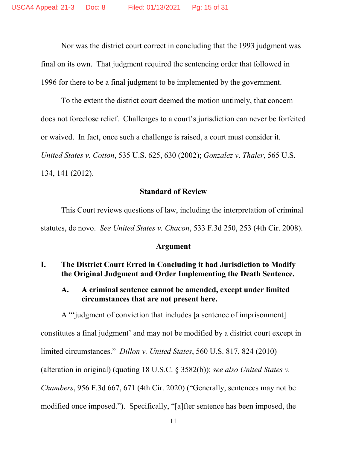Nor was the district court correct in concluding that the 1993 judgment was final on its own. That judgment required the sentencing order that followed in 1996 for there to be a final judgment to be implemented by the government.

To the extent the district court deemed the motion untimely, that concern does not foreclose relief. Challenges to a court's jurisdiction can never be forfeited or waived. In fact, once such a challenge is raised, a court must consider it. *United States v. Cotton*, 535 U.S. 625, 630 (2002); *Gonzalez v*. *Thaler*, 565 U.S. 134, 141 (2012).

#### **Standard of Review**

This Court reviews questions of law, including the interpretation of criminal statutes, de novo. *See United States v. Chacon*, 533 F.3d 250, 253 (4th Cir. 2008).

#### **Argument**

#### **I. The District Court Erred in Concluding it had Jurisdiction to Modify the Original Judgment and Order Implementing the Death Sentence.**

#### **A. A criminal sentence cannot be amended, except under limited circumstances that are not present here.**

A "'judgment of conviction that includes [a sentence of imprisonment] constitutes a final judgment' and may not be modified by a district court except in limited circumstances." *Dillon v. United States*, 560 U.S. 817, 824 (2010) (alteration in original) (quoting 18 U.S.C. § 3582(b)); *see also United States v. Chambers*, 956 F.3d 667, 671 (4th Cir. 2020) ("Generally, sentences may not be modified once imposed."). Specifically, "[a]fter sentence has been imposed, the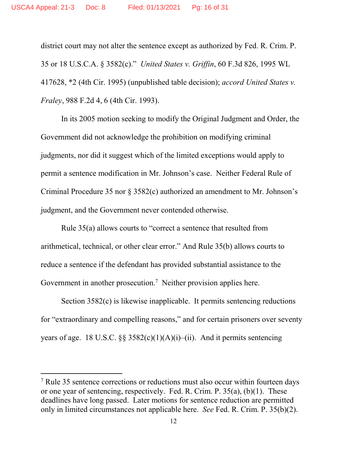district court may not alter the sentence except as authorized by Fed. R. Crim. P. 35 or 18 U.S.C.A. § 3582(c)." *United States v. Griffin*, 60 F.3d 826, 1995 WL 417628, \*2 (4th Cir. 1995) (unpublished table decision); *accord United States v. Fraley*, 988 F.2d 4, 6 (4th Cir. 1993).

In its 2005 motion seeking to modify the Original Judgment and Order, the Government did not acknowledge the prohibition on modifying criminal judgments, nor did it suggest which of the limited exceptions would apply to permit a sentence modification in Mr. Johnson's case. Neither Federal Rule of Criminal Procedure 35 nor § 3582(c) authorized an amendment to Mr. Johnson's judgment, and the Government never contended otherwise.

Rule 35(a) allows courts to "correct a sentence that resulted from arithmetical, technical, or other clear error." And Rule 35(b) allows courts to reduce a sentence if the defendant has provided substantial assistance to the Government in another prosecution.<sup>7</sup> Neither provision applies here.

Section 3582(c) is likewise inapplicable. It permits sentencing reductions for "extraordinary and compelling reasons," and for certain prisoners over seventy years of age. 18 U.S.C.  $\S$ § 3582(c)(1)(A)(i)–(ii). And it permits sentencing

<sup>&</sup>lt;sup>7</sup> Rule 35 sentence corrections or reductions must also occur within fourteen days or one year of sentencing, respectively. Fed. R. Crim. P. 35(a), (b)(1). These deadlines have long passed. Later motions for sentence reduction are permitted only in limited circumstances not applicable here. *See* Fed. R. Crim. P. 35(b)(2).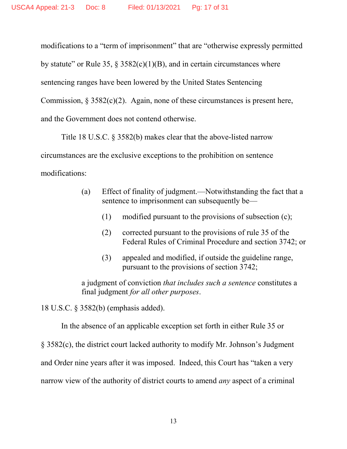modifications to a "term of imprisonment" that are "otherwise expressly permitted by statute" or Rule 35, § 3582(c)(1)(B), and in certain circumstances where sentencing ranges have been lowered by the United States Sentencing Commission,  $\S 3582(c)(2)$ . Again, none of these circumstances is present here, and the Government does not contend otherwise.

Title 18 U.S.C. § 3582(b) makes clear that the above-listed narrow circumstances are the exclusive exceptions to the prohibition on sentence modifications:

- (a) Effect of finality of judgment.—Notwithstanding the fact that a sentence to imprisonment can subsequently be—
	- (1) modified pursuant to the provisions of subsection (c);
	- (2) corrected pursuant to the provisions of rule 35 of the Federal Rules of Criminal Procedure and section 3742; or
	- (3) appealed and modified, if outside the guideline range, pursuant to the provisions of section 3742;

a judgment of conviction *that includes such a sentence* constitutes a final judgment *for all other purposes*.

18 U.S.C. § 3582(b) (emphasis added).

In the absence of an applicable exception set forth in either Rule 35 or § 3582(c), the district court lacked authority to modify Mr. Johnson's Judgment and Order nine years after it was imposed. Indeed, this Court has "taken a very narrow view of the authority of district courts to amend *any* aspect of a criminal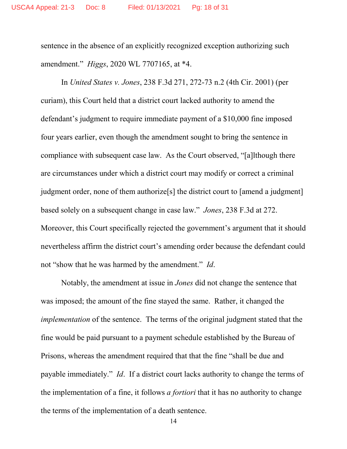sentence in the absence of an explicitly recognized exception authorizing such amendment." *Higgs*, 2020 WL 7707165, at \*4.

In *United States v. Jones*, 238 F.3d 271, 272-73 n.2 (4th Cir. 2001) (per curiam), this Court held that a district court lacked authority to amend the defendant's judgment to require immediate payment of a \$10,000 fine imposed four years earlier, even though the amendment sought to bring the sentence in compliance with subsequent case law. As the Court observed, "[a]lthough there are circumstances under which a district court may modify or correct a criminal judgment order, none of them authorize[s] the district court to [amend a judgment] based solely on a subsequent change in case law." *Jones*, 238 F.3d at 272. Moreover, this Court specifically rejected the government's argument that it should nevertheless affirm the district court's amending order because the defendant could not "show that he was harmed by the amendment." *Id*.

Notably, the amendment at issue in *Jones* did not change the sentence that was imposed; the amount of the fine stayed the same. Rather, it changed the *implementation* of the sentence. The terms of the original judgment stated that the fine would be paid pursuant to a payment schedule established by the Bureau of Prisons, whereas the amendment required that that the fine "shall be due and payable immediately." *Id*. If a district court lacks authority to change the terms of the implementation of a fine, it follows *a fortiori* that it has no authority to change the terms of the implementation of a death sentence.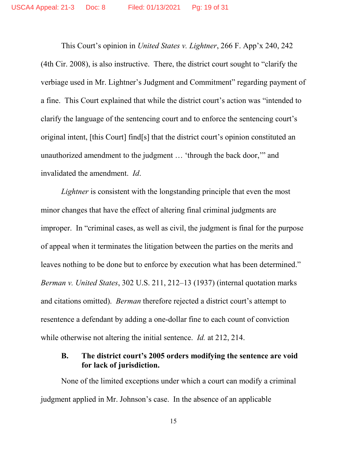This Court's opinion in *United States v. Lightner*, 266 F. App'x 240, 242 (4th Cir. 2008), is also instructive. There, the district court sought to "clarify the verbiage used in Mr. Lightner's Judgment and Commitment" regarding payment of a fine. This Court explained that while the district court's action was "intended to clarify the language of the sentencing court and to enforce the sentencing court's original intent, [this Court] find[s] that the district court's opinion constituted an unauthorized amendment to the judgment … 'through the back door,'" and invalidated the amendment. *Id*.

*Lightner* is consistent with the longstanding principle that even the most minor changes that have the effect of altering final criminal judgments are improper. In "criminal cases, as well as civil, the judgment is final for the purpose of appeal when it terminates the litigation between the parties on the merits and leaves nothing to be done but to enforce by execution what has been determined." *Berman v. United States*, 302 U.S. 211, 212–13 (1937) (internal quotation marks and citations omitted). *Berman* therefore rejected a district court's attempt to resentence a defendant by adding a one-dollar fine to each count of conviction while otherwise not altering the initial sentence. *Id.* at 212, 214.

#### **B. The district court's 2005 orders modifying the sentence are void for lack of jurisdiction.**

None of the limited exceptions under which a court can modify a criminal judgment applied in Mr. Johnson's case. In the absence of an applicable

15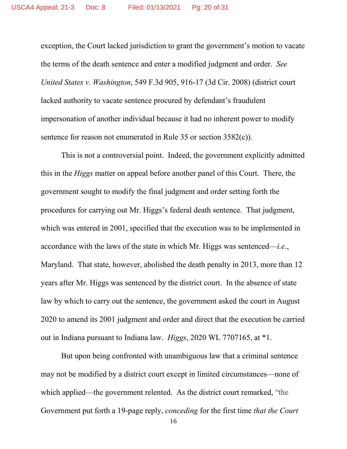exception, the Court lacked jurisdiction to grant the government's motion to vacate the terms of the death sentence and enter a modified judgment and order. *See United States v. Washington*, 549 F.3d 905, 916-17 (3d Cir. 2008) (district court lacked authority to vacate sentence procured by defendant's fraudulent impersonation of another individual because it had no inherent power to modify sentence for reason not enumerated in Rule 35 or section 3582(c)).

This is not a controversial point. Indeed, the government explicitly admitted this in the *Higgs* matter on appeal before another panel of this Court. There, the government sought to modify the final judgment and order setting forth the procedures for carrying out Mr. Higgs's federal death sentence. That judgment, which was entered in 2001, specified that the execution was to be implemented in accordance with the laws of the state in which Mr. Higgs was sentenced—*i.e*., Maryland. That state, however, abolished the death penalty in 2013, more than 12 years after Mr. Higgs was sentenced by the district court. In the absence of state law by which to carry out the sentence, the government asked the court in August 2020 to amend its 2001 judgment and order and direct that the execution be carried out in Indiana pursuant to Indiana law. *Higgs*, 2020 WL 7707165, at \*1.

But upon being confronted with unambiguous law that a criminal sentence may not be modified by a district court except in limited circumstances—none of which applied—the government relented. As the district court remarked, "the Government put forth a 19-page reply, *conceding* for the first time *that the Court*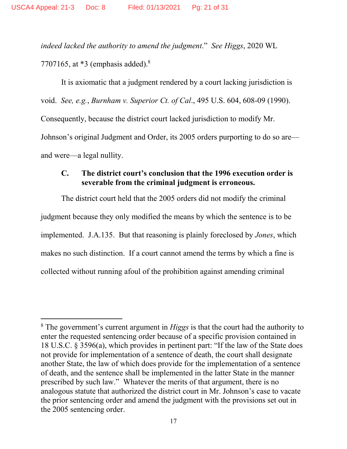*indeed lacked the authority to amend the judgment*." *See Higgs*, 2020 WL 7707165, at  $*3$  (emphasis added).<sup>8</sup>

It is axiomatic that a judgment rendered by a court lacking jurisdiction is void. *See, e.g.*, *Burnham v. Superior Ct. of Cal*., 495 U.S. 604, 608-09 (1990). Consequently, because the district court lacked jurisdiction to modify Mr. Johnson's original Judgment and Order, its 2005 orders purporting to do so are and were—a legal nullity.

#### **C. The district court's conclusion that the 1996 execution order is severable from the criminal judgment is erroneous.**

The district court held that the 2005 orders did not modify the criminal judgment because they only modified the means by which the sentence is to be implemented. J.A.135. But that reasoning is plainly foreclosed by *Jones*, which makes no such distinction. If a court cannot amend the terms by which a fine is collected without running afoul of the prohibition against amending criminal

<sup>8</sup> The government's current argument in *Higgs* is that the court had the authority to enter the requested sentencing order because of a specific provision contained in 18 U.S.C. § 3596(a), which provides in pertinent part: "If the law of the State does not provide for implementation of a sentence of death, the court shall designate another State, the law of which does provide for the implementation of a sentence of death, and the sentence shall be implemented in the latter State in the manner prescribed by such law." Whatever the merits of that argument, there is no analogous statute that authorized the district court in Mr. Johnson's case to vacate the prior sentencing order and amend the judgment with the provisions set out in the 2005 sentencing order.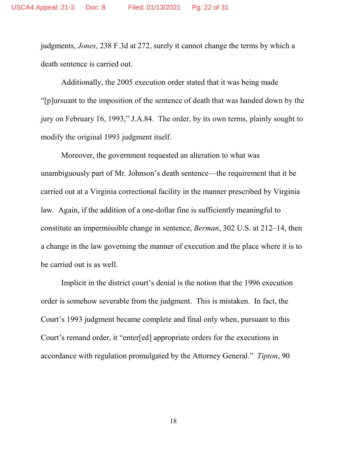judgments, *Jones*, 238 F.3d at 272, surely it cannot change the terms by which a death sentence is carried out.

Additionally, the 2005 execution order stated that it was being made "[p]ursuant to the imposition of the sentence of death that was handed down by the jury on February 16, 1993," J.A.84. The order, by its own terms, plainly sought to modify the original 1993 judgment itself.

Moreover, the government requested an alteration to what was unambiguously part of Mr. Johnson's death sentence—the requirement that it be carried out at a Virginia correctional facility in the manner prescribed by Virginia law. Again, if the addition of a one-dollar fine is sufficiently meaningful to constitute an impermissible change in sentence, *Berman*, 302 U.S. at 212–14, then a change in the law governing the manner of execution and the place where it is to be carried out is as well.

Implicit in the district court's denial is the notion that the 1996 execution order is somehow severable from the judgment. This is mistaken. In fact, the Court's 1993 judgment became complete and final only when, pursuant to this Court's remand order, it "enter[ed] appropriate orders for the executions in accordance with regulation promulgated by the Attorney General." *Tipton*, 90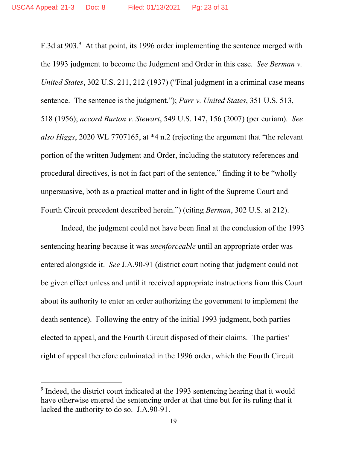F.3d at 903.<sup>9</sup> At that point, its 1996 order implementing the sentence merged with the 1993 judgment to become the Judgment and Order in this case. *See Berman v. United States*, 302 U.S. 211, 212 (1937) ("Final judgment in a criminal case means sentence. The sentence is the judgment."); *Parr v. United States*, 351 U.S. 513, 518 (1956); *accord Burton v. Stewart*, 549 U.S. 147, 156 (2007) (per curiam). *See also Higgs*, 2020 WL 7707165, at \*4 n.2 (rejecting the argument that "the relevant portion of the written Judgment and Order, including the statutory references and procedural directives, is not in fact part of the sentence," finding it to be "wholly unpersuasive, both as a practical matter and in light of the Supreme Court and Fourth Circuit precedent described herein.") (citing *Berman*, 302 U.S. at 212).

Indeed, the judgment could not have been final at the conclusion of the 1993 sentencing hearing because it was *unenforceable* until an appropriate order was entered alongside it. *See* J.A.90-91 (district court noting that judgment could not be given effect unless and until it received appropriate instructions from this Court about its authority to enter an order authorizing the government to implement the death sentence). Following the entry of the initial 1993 judgment, both parties elected to appeal, and the Fourth Circuit disposed of their claims. The parties' right of appeal therefore culminated in the 1996 order, which the Fourth Circuit

<sup>&</sup>lt;sup>9</sup> Indeed, the district court indicated at the 1993 sentencing hearing that it would have otherwise entered the sentencing order at that time but for its ruling that it lacked the authority to do so. J.A.90-91.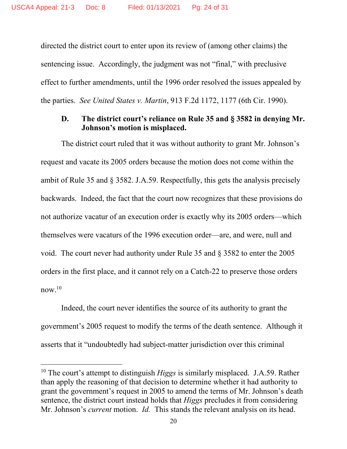directed the district court to enter upon its review of (among other claims) the sentencing issue. Accordingly, the judgment was not "final," with preclusive effect to further amendments, until the 1996 order resolved the issues appealed by the parties. *See United States v. Martin*, 913 F.2d 1172, 1177 (6th Cir. 1990).

#### **D. The district court's reliance on Rule 35 and § 3582 in denying Mr. Johnson's motion is misplaced.**

The district court ruled that it was without authority to grant Mr. Johnson's request and vacate its 2005 orders because the motion does not come within the ambit of Rule 35 and § 3582. J.A.59. Respectfully, this gets the analysis precisely backwards. Indeed, the fact that the court now recognizes that these provisions do not authorize vacatur of an execution order is exactly why its 2005 orders—which themselves were vacaturs of the 1996 execution order—are, and were, null and void. The court never had authority under Rule 35 and § 3582 to enter the 2005 orders in the first place, and it cannot rely on a Catch-22 to preserve those orders now. $10$ 

Indeed, the court never identifies the source of its authority to grant the government's 2005 request to modify the terms of the death sentence. Although it asserts that it "undoubtedly had subject-matter jurisdiction over this criminal

<sup>&</sup>lt;sup>10</sup> The court's attempt to distinguish *Higgs* is similarly misplaced. J.A.59. Rather than apply the reasoning of that decision to determine whether it had authority to grant the government's request in 2005 to amend the terms of Mr. Johnson's death sentence, the district court instead holds that *Higgs* precludes it from considering Mr. Johnson's *current* motion. *Id.* This stands the relevant analysis on its head.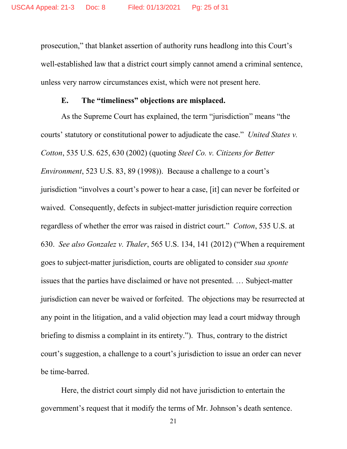prosecution," that blanket assertion of authority runs headlong into this Court's well-established law that a district court simply cannot amend a criminal sentence, unless very narrow circumstances exist, which were not present here.

#### **E. The "timeliness" objections are misplaced.**

As the Supreme Court has explained, the term "jurisdiction" means "the courts' statutory or constitutional power to adjudicate the case." *United States v. Cotton*, 535 U.S. 625, 630 (2002) (quoting *Steel Co. v. Citizens for Better Environment*, 523 U.S. 83, 89 (1998)). Because a challenge to a court's jurisdiction "involves a court's power to hear a case, [it] can never be forfeited or waived. Consequently, defects in subject-matter jurisdiction require correction regardless of whether the error was raised in district court." *Cotton*, 535 U.S. at 630. *See also Gonzalez v. Thaler*, 565 U.S. 134, 141 (2012) ("When a requirement goes to subject-matter jurisdiction, courts are obligated to consider *sua sponte* issues that the parties have disclaimed or have not presented. … Subject-matter jurisdiction can never be waived or forfeited. The objections may be resurrected at any point in the litigation, and a valid objection may lead a court midway through briefing to dismiss a complaint in its entirety."). Thus, contrary to the district court's suggestion, a challenge to a court's jurisdiction to issue an order can never be time-barred.

Here, the district court simply did not have jurisdiction to entertain the government's request that it modify the terms of Mr. Johnson's death sentence.

21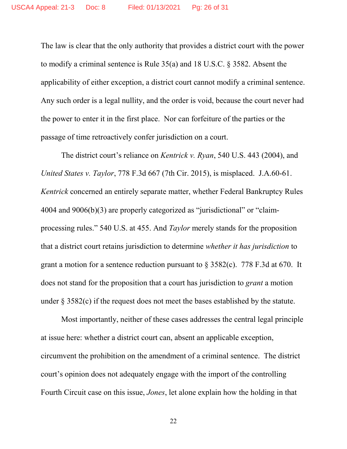The law is clear that the only authority that provides a district court with the power to modify a criminal sentence is Rule 35(a) and 18 U.S.C. § 3582. Absent the applicability of either exception, a district court cannot modify a criminal sentence. Any such order is a legal nullity, and the order is void, because the court never had the power to enter it in the first place. Nor can forfeiture of the parties or the passage of time retroactively confer jurisdiction on a court.

The district court's reliance on *Kentrick v. Ryan*, 540 U.S. 443 (2004), and *United States v. Taylor*, 778 F.3d 667 (7th Cir. 2015), is misplaced. J.A.60-61. *Kentrick* concerned an entirely separate matter, whether Federal Bankruptcy Rules 4004 and 9006(b)(3) are properly categorized as "jurisdictional" or "claimprocessing rules." 540 U.S. at 455. And *Taylor* merely stands for the proposition that a district court retains jurisdiction to determine *whether it has jurisdiction* to grant a motion for a sentence reduction pursuant to § 3582(c). 778 F.3d at 670. It does not stand for the proposition that a court has jurisdiction to *grant* a motion under  $\S 3582(c)$  if the request does not meet the bases established by the statute.

Most importantly, neither of these cases addresses the central legal principle at issue here: whether a district court can, absent an applicable exception, circumvent the prohibition on the amendment of a criminal sentence. The district court's opinion does not adequately engage with the import of the controlling Fourth Circuit case on this issue, *Jones*, let alone explain how the holding in that

22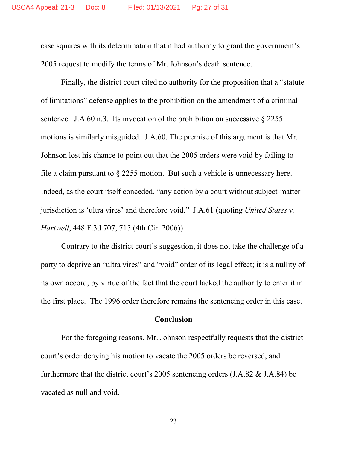case squares with its determination that it had authority to grant the government's 2005 request to modify the terms of Mr. Johnson's death sentence.

Finally, the district court cited no authority for the proposition that a "statute of limitations" defense applies to the prohibition on the amendment of a criminal sentence. J.A.60 n.3. Its invocation of the prohibition on successive  $\S 2255$ motions is similarly misguided. J.A.60. The premise of this argument is that Mr. Johnson lost his chance to point out that the 2005 orders were void by failing to file a claim pursuant to § 2255 motion. But such a vehicle is unnecessary here. Indeed, as the court itself conceded, "any action by a court without subject-matter jurisdiction is 'ultra vires' and therefore void." J.A.61 (quoting *United States v. Hartwell*, 448 F.3d 707, 715 (4th Cir. 2006)).

Contrary to the district court's suggestion, it does not take the challenge of a party to deprive an "ultra vires" and "void" order of its legal effect; it is a nullity of its own accord, by virtue of the fact that the court lacked the authority to enter it in the first place. The 1996 order therefore remains the sentencing order in this case.

#### **Conclusion**

For the foregoing reasons, Mr. Johnson respectfully requests that the district court's order denying his motion to vacate the 2005 orders be reversed, and furthermore that the district court's 2005 sentencing orders (J.A.82 & J.A.84) be vacated as null and void.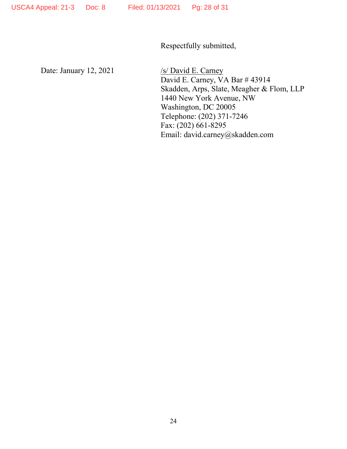Respectfully submitted,

Date: January 12, 2021 /s/ David E. Carney

David E. Carney, VA Bar # 43914 Skadden, Arps, Slate, Meagher & Flom, LLP 1440 New York Avenue, NW Washington, DC 20005 Telephone: (202) 371-7246 Fax: (202) 661-8295 Email: david.carney@skadden.com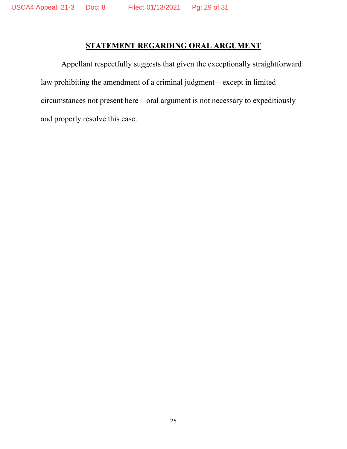### **STATEMENT REGARDING ORAL ARGUMENT**

Appellant respectfully suggests that given the exceptionally straightforward law prohibiting the amendment of a criminal judgment—except in limited circumstances not present here—oral argument is not necessary to expeditiously and properly resolve this case.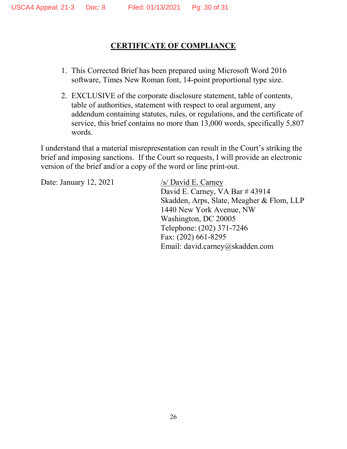### **CERTIFICATE OF COMPLIANCE**

- 1. This Corrected Brief has been prepared using Microsoft Word 2016 software, Times New Roman font, 14-point proportional type size.
- 2. EXCLUSIVE of the corporate disclosure statement, table of contents, table of authorities, statement with respect to oral argument, any addendum containing statutes, rules, or regulations, and the certificate of service, this brief contains no more than 13,000 words, specifically 5,807 words.

I understand that a material misrepresentation can result in the Court's striking the brief and imposing sanctions. If the Court so requests, I will provide an electronic version of the brief and/or a copy of the word or line print-out.

Date: January 12, 2021 /s/ David E. Carney

David E. Carney, VA Bar # 43914 Skadden, Arps, Slate, Meagher & Flom, LLP 1440 New York Avenue, NW Washington, DC 20005 Telephone: (202) 371-7246 Fax: (202) 661-8295 Email: david.carney@skadden.com